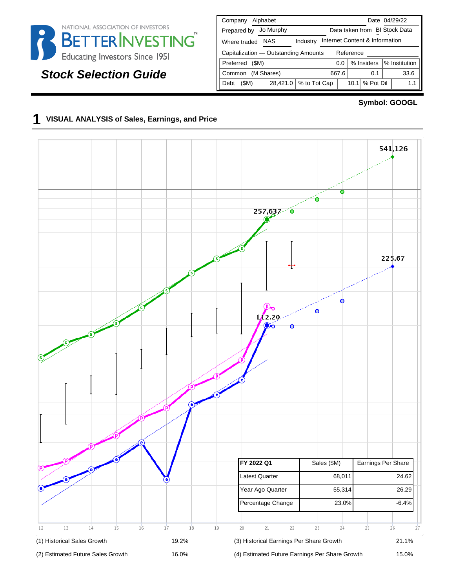

# **Stock Selection Guide**

| Alphabet<br>Company                                               | Date 04/29/22                      |  |  |  |  |  |
|-------------------------------------------------------------------|------------------------------------|--|--|--|--|--|
| Jo Murphy<br>Prepared by                                          | Data taken from BI Stock Data      |  |  |  |  |  |
| Internet Content & Information<br>NAS<br>Industry<br>Where traded |                                    |  |  |  |  |  |
| Capitalization --- Outstanding Amounts<br>Reference               |                                    |  |  |  |  |  |
| Preferred<br>(SM)                                                 | % Institution<br>% Insiders<br>0.0 |  |  |  |  |  |
| (M Shares)<br>Common                                              | 33.6<br>667.6<br>0.1               |  |  |  |  |  |
| % to Tot Cap<br>28,421.0<br>(SM)<br>Debt                          | % Pot Dil<br>10.1<br>1.1           |  |  |  |  |  |

### **Symbol: GOOGL**

## **1 VISUAL ANALYSIS of Sales, Earnings, and Price**

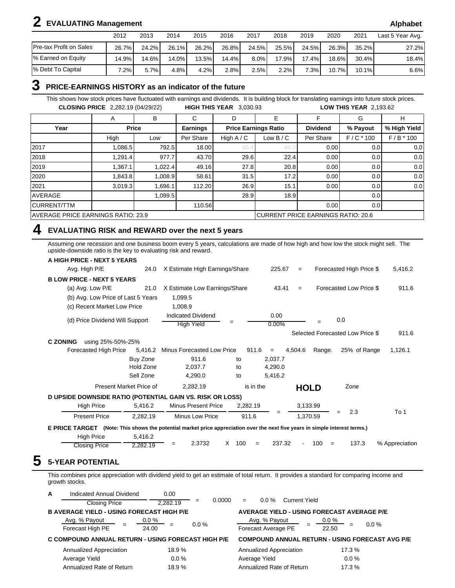# **2 EVALUATING Management Alphabet**

|                         | 2012  | 2013     | 2014     | 2015  | 2016  | 2017  | 2018  | 2019  | 2020     | 2021     | Last 5 Year Avg. |
|-------------------------|-------|----------|----------|-------|-------|-------|-------|-------|----------|----------|------------------|
| Pre-tax Profit on Sales | 26.7% | $24.2\%$ | 26.1%    | 26.2% | 26.8% | 24.5% | 25.5% | 24.5% | 26.3%    | $35.2\%$ | 27.2%            |
| % Earned on Equity      | 14.9% | 14.6%    | $14.0\%$ | 13.5% | 14.4% | 8.0%  | 17.9% | 17.4% | 18.6%    | $30.4\%$ | 18.4%            |
| % Debt To Capital       | .2%   | 5.7%     | 4.8%     | 4.2%  | 2.8%  | 2.5%  | 2.2%  | 7.3%  | $10.7\%$ | $10.1\%$ | 6.6%             |

## **3 PRICE-EARNINGS HISTORY as an indicator of the future**

This shows how stock prices have fluctuated with earnings and dividends. It is building block for translating earnings into future stock prices. **CLOSING PRICE** 2,282.19 (04/29/22) **HIGH THIS YEAR** 3,030.93 **LOW THIS YEAR** 2,193.62

|                                    | Α       | В            | С               | D            | Е                                  |                 | G                | н            |
|------------------------------------|---------|--------------|-----------------|--------------|------------------------------------|-----------------|------------------|--------------|
| Year                               |         | <b>Price</b> | <b>Earnings</b> |              | <b>Price Earnings Ratio</b>        | <b>Dividend</b> | % Payout         | % High Yield |
|                                    | High    | Low          | Per Share       | High $A / C$ | Low $B/C$                          | Per Share       | $F/C * 100$      | $F/B * 100$  |
| 2017                               | 1,086.5 | 792.5        | 18.00           | 60           | 44.0                               | 0.00            | 0.0              | 0.0          |
| 2018                               | 1,291.4 | 977.7        | 43.70           | 29.6         | 22.4                               | 0.00            | 0.0              | 0.0          |
| 2019                               | 1,367.1 | 1,022.4      | 49.16           | 27.8         | 20.8                               | 0.00            | 0.0              | 0.0          |
| 2020                               | 1,843.8 | 1,008.9      | 58.61           | 31.5         | 17.2                               | 0.00            | 0.0              | 0.0          |
| 2021                               | 3,019.3 | 1,696.1      | 112.20          | 26.9         | 15.1                               | 0.00            | 0.0              | 0.0          |
| <b>AVERAGE</b>                     |         | 1,099.5      |                 | 28.9         | 18.9                               |                 | 0.0              |              |
| <b>CURRENT/TTM</b>                 |         |              | 110.56          |              |                                    | 0.00            | 0.0 <sub>1</sub> |              |
| AVERAGE PRICE EARNINGS RATIO: 23.9 |         |              |                 |              | CURRENT PRICE EARNINGS RATIO: 20.6 |                 |                  |              |

## **4 EVALUATING RISK and REWARD over the next 5 years**

Assuming one recession and one business boom every 5 years, calculations are made of how high and how low the stock might sell. The upside-downside ratio is the key to evaluating risk and reward.

| <b>A HIGH PRICE - NEXT 5 YEARS</b>                                                                                           |                         |                                |           |           |          |          |             |                                  |                |
|------------------------------------------------------------------------------------------------------------------------------|-------------------------|--------------------------------|-----------|-----------|----------|----------|-------------|----------------------------------|----------------|
| Avg. High P/E                                                                                                                | 24.0                    | X Estimate High Earnings/Share |           |           | 225.67   | $=$      |             | Forecasted High Price \$         | 5,416.2        |
| <b>B LOW PRICE - NEXT 5 YEARS</b>                                                                                            |                         |                                |           |           |          |          |             |                                  |                |
| (a) Avg. Low P/E                                                                                                             | 21.0                    | X Estimate Low Earnings/Share  |           |           | 43.41    | $=$      |             | Forecasted Low Price \$          | 911.6          |
| (b) Avg. Low Price of Last 5 Years                                                                                           |                         | 1,099.5                        |           |           |          |          |             |                                  |                |
| (c) Recent Market Low Price                                                                                                  |                         | 1,008.9                        |           |           |          |          |             |                                  |                |
| (d) Price Dividend Will Support                                                                                              |                         | Indicated Dividend             |           |           | 0.00     |          |             | 0.0                              |                |
|                                                                                                                              |                         | <b>High Yield</b>              |           |           | $0.00\%$ |          |             |                                  |                |
|                                                                                                                              |                         |                                |           |           |          |          |             | Selected Forecasted Low Price \$ | 911.6          |
| <b>C ZONING</b><br>using 25%-50%-25%                                                                                         |                         |                                |           |           |          |          |             |                                  |                |
| Forecasted High Price                                                                                                        | 5.416.2                 | Minus Forecasted Low Price     |           | 911.6     | $=$      | 4.504.6  | Range.      | 25% of Range                     | 1,126.1        |
|                                                                                                                              | Buy Zone                | 911.6                          | to        |           | 2,037.7  |          |             |                                  |                |
|                                                                                                                              | Hold Zone               | 2.037.7                        | to        |           | 4,290.0  |          |             |                                  |                |
|                                                                                                                              | Sell Zone               | 4,290.0                        | to        |           | 5,416.2  |          |             |                                  |                |
|                                                                                                                              | Present Market Price of | 2,282.19                       |           | is in the |          |          | <b>HOLD</b> | Zone                             |                |
| D UPSIDE DOWNSIDE RATIO (POTENTIAL GAIN VS. RISK OR LOSS)                                                                    |                         |                                |           |           |          |          |             |                                  |                |
| <b>High Price</b>                                                                                                            | 5,416.2                 | <b>Minus Present Price</b>     |           | 2,282.19  |          | 3,133.99 |             |                                  |                |
| <b>Present Price</b>                                                                                                         | 2,282.19                | Minus Low Price                |           | 911.6     |          |          | 1,370.59    | 2.3<br>$=$                       | To 1           |
| E PRICE TARGET (Note: This shows the potential market price appreciation over the next five years in simple interest terms.) |                         |                                |           |           |          |          |             |                                  |                |
| <b>High Price</b>                                                                                                            | 5,416.2                 |                                |           |           |          |          |             |                                  |                |
| <b>Closing Price</b>                                                                                                         | 2,282.19                | 2.3732<br>$=$                  | 100<br>X. | $=$       | 237.32   |          | 100<br>$=$  | 137.3                            | % Appreciation |

**5 5-YEAR POTENTIAL**

This combines price appreciation with dividend yield to get an estimate of total return. It provides a standard for comparing income and growth stocks.

| A | Indicated Annual Dividend                          | 0.00             |               |                                                   |                                                        |
|---|----------------------------------------------------|------------------|---------------|---------------------------------------------------|--------------------------------------------------------|
|   | <b>Closing Price</b>                               | 2.282.19         | 0.0000<br>$=$ | $0.0\%$<br><b>Current Yield</b><br>$=$            |                                                        |
|   | <b>B AVERAGE YIELD - USING FORECAST HIGH P/E</b>   |                  |               | <b>AVERAGE YIELD - USING FORECAST AVERAGE P/E</b> |                                                        |
|   | Avg. % Payout<br>$=$<br>Forecast High PE           | $0.0\%$<br>24.00 | $0.0\%$       | Avg. % Payout<br>Forecast Average PE              | $0.0\%$<br>$0.0 \%$<br>$=$<br>22.50                    |
|   | C COMPOUND ANNUAL RETURN - USING FORECAST HIGH P/E |                  |               |                                                   | <b>COMPOUND ANNUAL RETURN - USING FORECAST AVG P/E</b> |
|   | <b>Annualized Appreciation</b>                     | 18.9%            |               | Annualized Appreciation                           | 17.3 %                                                 |
|   | Average Yield                                      | $0.0\%$          |               | Average Yield                                     | $0.0 \%$                                               |
|   | Annualized Rate of Return                          | 18.9%            |               | Annualized Rate of Return                         | 17.3 %                                                 |